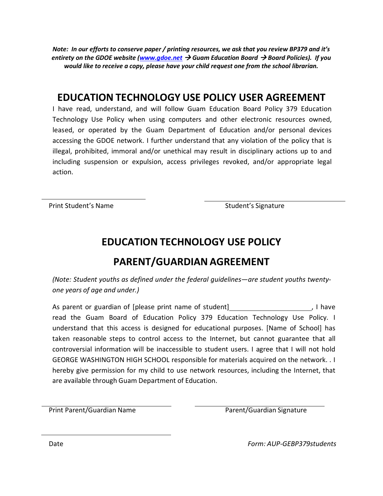*Note: In our efforts to conserve paper / printing resources, we ask that you review BP379 and it's entirety on the GDOE website [\(www.gdoe.net](http://www.gdoe.net/) Guam Education Board Board Policies). If you would like to receive a copy, please have your child request one from the school librarian.*

### **EDUCATION TECHNOLOGY USE POLICY USER AGREEMENT**

I have read, understand, and will follow Guam Education Board Policy 379 Education Technology Use Policy when using computers and other electronic resources owned, leased, or operated by the Guam Department of Education and/or personal devices accessing the GDOE network. I further understand that any violation of the policy that is illegal, prohibited, immoral and/or unethical may result in disciplinary actions up to and including suspension or expulsion, access privileges revoked, and/or appropriate legal action.

Print Student's Name<br>
Student's Signature

#### **EDUCATION TECHNOLOGY USE POLICY**

### **PARENT/GUARDIAN AGREEMENT**

*(Note: Student youths as defined under the federal guidelines—are student youths twentyone years of age and under.)*

As parent or guardian of [please print name of student] The manner of student and the set of the set of the set of the set of the set of the set of the set of the set of the set of the set of the set of the set of the set read the Guam Board of Education Policy 379 Education Technology Use Policy. I understand that this access is designed for educational purposes. [Name of School] has taken reasonable steps to control access to the Internet, but cannot guarantee that all controversial information will be inaccessible to student users. I agree that I will not hold GEORGE WASHINGTON HIGH SCHOOL responsible for materials acquired on the network. . I hereby give permission for my child to use network resources, including the Internet, that are available through Guam Department of Education.

Print Parent/Guardian Name **Parent/Guardian Signature** Parent/Guardian Signature

Date *Form: AUP-GEBP379students*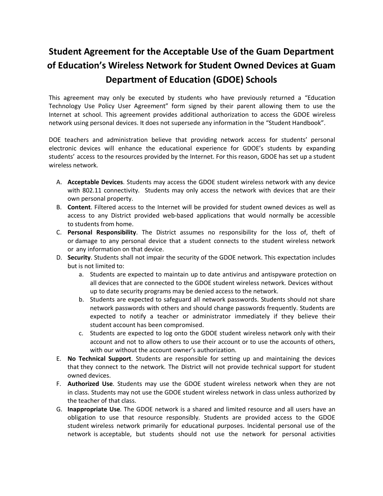# **Student Agreement for the Acceptable Use of the Guam Department of Education's Wireless Network for Student Owned Devices at Guam Department of Education (GDOE) Schools**

This agreement may only be executed by students who have previously returned a "Education Technology Use Policy User Agreement" form signed by their parent allowing them to use the Internet at school. This agreement provides additional authorization to access the GDOE wireless network using personal devices. It does not supersede any information in the "Student Handbook".

DOE teachers and administration believe that providing network access for students' personal electronic devices will enhance the educational experience for GDOE's students by expanding students' access to the resources provided by the Internet. For this reason, GDOE has set up a student wireless network.

- A. **Acceptable Devices**. Students may access the GDOE student wireless network with any device with 802.11 connectivity. Students may only access the network with devices that are their own personal property.
- B. **Content**. Filtered access to the Internet will be provided for student owned devices as well as access to any District provided web-based applications that would normally be accessible to students from home.
- C. **Personal Responsibility**. The District assumes no responsibility for the loss of, theft of or damage to any personal device that a student connects to the student wireless network or any information on that device.
- D. **Security**. Students shall not impair the security of the GDOE network. This expectation includes but is not limited to:
	- a. Students are expected to maintain up to date antivirus and antispyware protection on all devices that are connected to the GDOE student wireless network. Devices without up to date security programs may be denied access to the network.
	- b. Students are expected to safeguard all network passwords. Students should not share network passwords with others and should change passwords frequently. Students are expected to notify a teacher or administrator immediately if they believe their student account has been compromised.
	- c. Students are expected to log onto the GDOE student wireless network only with their account and not to allow others to use their account or to use the accounts of others, with our without the account owner's authorization.
- E. **No Technical Support**. Students are responsible for setting up and maintaining the devices that they connect to the network. The District will not provide technical support for student owned devices.
- F. **Authorized Use**. Students may use the GDOE student wireless network when they are not in class. Students may not use the GDOE student wireless network in class unless authorized by the teacher of that class.
- G. **Inappropriate Use**. The GDOE network is a shared and limited resource and all users have an obligation to use that resource responsibly. Students are provided access to the GDOE student wireless network primarily for educational purposes. Incidental personal use of the network is acceptable, but students should not use the network for personal activities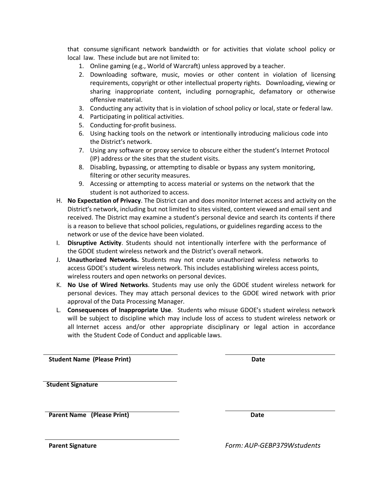that consume significant network bandwidth or for activities that violate school policy or local law. These include but are not limited to:

- 1. Online gaming (e.g., World of Warcraft) unless approved by a teacher.
- 2. Downloading software, music, movies or other content in violation of licensing requirements, copyright or other intellectual property rights. Downloading, viewing or sharing inappropriate content, including pornographic, defamatory or otherwise offensive material.
- 3. Conducting any activity that is in violation of school policy or local, state or federal law.
- 4. Participating in political activities.
- 5. Conducting for-profit business.
- 6. Using hacking tools on the network or intentionally introducing malicious code into the District's network.
- 7. Using any software or proxy service to obscure either the student's Internet Protocol (IP) address or the sites that the student visits.
- 8. Disabling, bypassing, or attempting to disable or bypass any system monitoring, filtering or other security measures.
- 9. Accessing or attempting to access material or systems on the network that the student is not authorized to access.
- H. **No Expectation of Privacy**. The District can and does monitor Internet access and activity on the District's network, including but not limited to sites visited, content viewed and email sent and received. The District may examine a student's personal device and search its contents if there is a reason to believe that school policies, regulations, or guidelines regarding access to the network or use of the device have been violated.
- I. **Disruptive Activity**. Students should not intentionally interfere with the performance of the GDOE student wireless network and the District's overall network.
- J. **Unauthorized Networks.** Students may not create unauthorized wireless networks to access GDOE's student wireless network. This includes establishing wireless access points, wireless routers and open networks on personal devices.
- K. **No Use of Wired Networks**. Students may use only the GDOE student wireless network for personal devices. They may attach personal devices to the GDOE wired network with prior approval of the Data Processing Manager.
- L. **Consequences of Inappropriate Use**. Students who misuse GDOE's student wireless network will be subject to discipline which may include loss of access to student wireless network or all Internet access and/or other appropriate disciplinary or legal action in accordance with the Student Code of Conduct and applicable laws.

**Student Name (Please Print) Date**

**Student Signature**

**Parent Name (Please Print) Date**

**Parent Signature** *Form: AUP-GEBP379Wstudents*